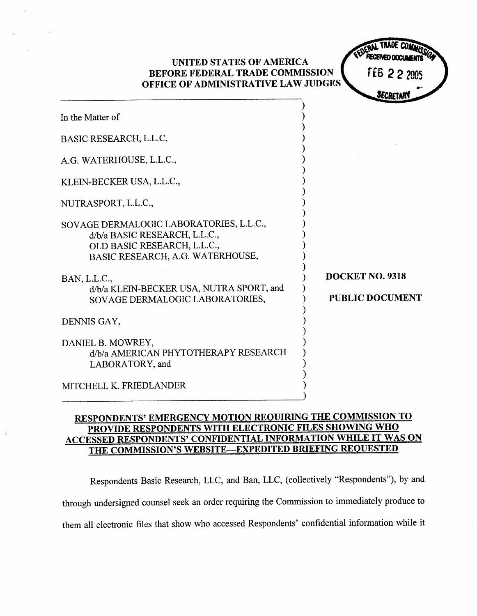| UNITED STATES OF AMERICA<br>BEFORE FEDERAL TRADE COMMISSION<br>OFFICE OF ADMINISTRATIVE LAW JUDGES                                          | FEB 2 2 2005                              |
|---------------------------------------------------------------------------------------------------------------------------------------------|-------------------------------------------|
|                                                                                                                                             | SECRETAR                                  |
| In the Matter of                                                                                                                            |                                           |
| BASIC RESEARCH, L.L.C,                                                                                                                      |                                           |
| A.G. WATERHOUSE, L.L.C.,                                                                                                                    |                                           |
| KLEIN-BECKER USA, L.L.C.,                                                                                                                   |                                           |
| NUTRASPORT, L.L.C.,                                                                                                                         |                                           |
| SOVAGE DERMALOGIC LABORATORIES, L.L.C.,<br>d/b/a BASIC RESEARCH, L.L.C.,<br>OLD BASIC RESEARCH, L.L.C.,<br>BASIC RESEARCH, A.G. WATERHOUSE, |                                           |
| BAN, L.L.C.,<br>d/b/a KLEIN-BECKER USA, NUTRA SPORT, and<br>SOVAGE DERMALOGIC LABORATORIES,                                                 | DOCKET NO. 9318<br><b>PUBLIC DOCUMENT</b> |
| DENNIS GAY,                                                                                                                                 |                                           |
| DANIEL B. MOWREY,<br>d/b/a AMERICAN PHYTOTHERAPY RESEARCH<br>LABORATORY, and                                                                |                                           |
| MITCHELL K. FRIEDLANDER                                                                                                                     |                                           |

## RESPONDENTS' EMERGENCY MOTION REQUIRING THE COMMISSION TO PROVIDE RESPONDENTS WITH ELECTRONIC FILES SHOWING WHO ACCESSED RESPONDENTS' CONFIDENTIAL INFORMATION WHILE IT WAS ON THE COMMISSION'S WEBSITE-EXPEDITED BRIEFING REQUESTED

Respondents Basic Research, LLC, and Ban, LLC, (collectively "Respondents"), by and through undersigned counsel seek an order requiring the Commission to immediately produce to them all electronic fies that show who accessed Respondents' confidential information while it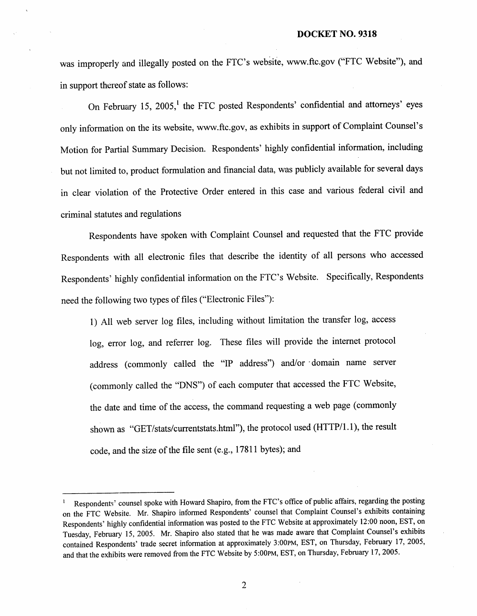was improperly and illegally posted on the FTC's website, www.ftc.gov ("FTC Website"), and in support thereof state as follows:

On February 15, 2005,<sup>1</sup> the FTC posted Respondents' confidential and attorneys' eyes only information on the its website, www.ftc.gov, as exhibits in support of Complaint Counsel' Motion for Partial Summary Decision. Respondents' highly confidential information, including but not limited to, product formulation and financial data, was publicly available for several days in clear violation of the Protective Order entered in this case and various federal civil and criminal statutes and regulations

Respondents have spoken with Complaint Counsel and requested that the FTC provide Respondents with all electronic files that describe the identity of all persons who accessed Respondents' highly confidential information on the FTC's Website. Specifically, Respondents need the following two types of files ("Electronic Files

1) All web server log files, including without limitation the transfer log, access log, error log, and referrer log. These files will provide the internet protocol address (commonly called the "IP address") and/or domain name server (commonly called the "DNS") of each computer that accessed the FTC Website the date and time of the access, the command requesting a web page (commonly shown as "GET/stats/currentstats.html"), the protocol used (HTTP/l. I), the result code, and the size of the file sent (e.g., 17811 bytes); and

 $\overline{c}$ 

Respondents' counsel spoke with Howard Shapiro, from the FTC's office of public affairs, regarding the posting on the FTC Website. Mr. Shapiro informed Respondents' counsel that Complaint Counsel's exhibits containing Respondents' highly confidential information was posted to the FTC Website at approximately 12:00 noon, EST, on Tuesday, February 15, 2005. Mr. Shapiro also stated that he was made aware that Complaint Counsel's exhibits contained Respondents' trade secret information at approximately 3:00PM, EST, on Thursday, February 17, 2005 and that the exhibits were removed from the FTC Website by 5:00PM, EST, on Thursday, February 17 2005.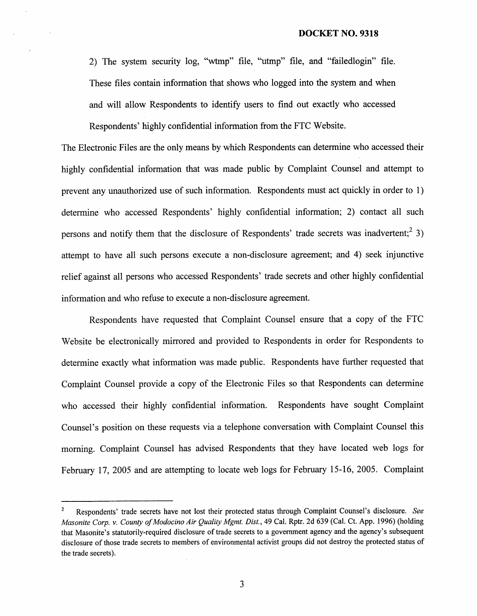2) The system security log, "wtmp" file, "utmp" file, and "failedlogin" file. These files contain information that shows who logged into the system and when and will allow Respondents to identify users to find out exactly who accessed Respondents' highly confidential information from the FTC Website.

The Electronic Files are the only means by which Respondents can determine who accessed their highly confidential information that was made public by Complaint Counsel and attempt to prevent any unauthorized use of such information. Respondents must act quickly in order to I) determine who accessed Respondents' highly confidential information; 2) contact all such persons and notify them that the disclosure of Respondents' trade secrets was inadvertent;  $2^{2}$  3) attempt to have all such persons execute a non-disclosure agreement; and 4) seek injunctive relief against all persons who accessed Respondents' trade secrets and other highly confidential information and who refuse to execute a non-disclosure agreement.

Respondents have requested that Complaint Counsel ensure that a copy of the FTC Website be electronically mirrored and provided to Respondents in order for Rcspondcnts to determine exactly what information was made public. Respondents have further requested that Complaint Counsel provide a copy of the Electronic Files so that Respondents can determine who accessed their highly confidential information. Respondents have sought Complaint Counsel's position on these requests via a telephone conversation with Complaint Counsel this morning. Complaint Counsel has advised Respondents that they have located web logs for February 17, 2005 and are attempting to locate web logs for February 15-16, 2005. Complaint

3

 $\mathbf 2$ Respondents' trade secrets have not lost their protected status through Complaint Counsel's disclosure. See Masonite Corp. v. County of Modocino Air Quality Mgmt. Dist. 49 CaI. Rptr. 2d 639 (CaI. Ct. App. 1996) (holding that Masonite's statutorily-required disclosure of trade secrets to a government agency and the agency's subsequent disclosure of those trade secrets to members of environmental activist groups did not destroy the protected status of the trade secrets).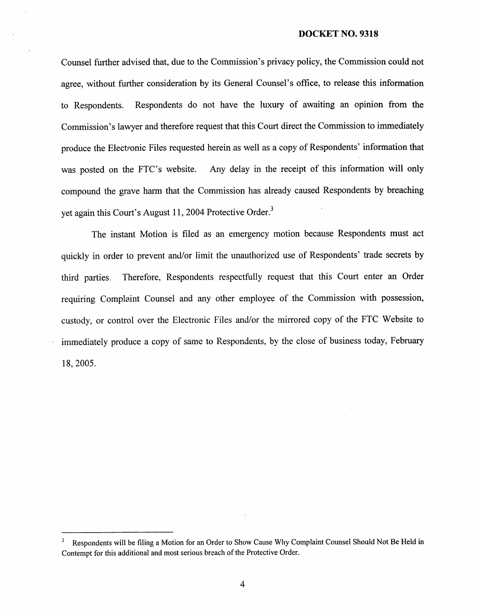## DOCKET NO. 9318

Counsel further advised that, due to the Commission's privacy policy, the Commission could not agree, without further consideration by its General Counsel's office, to release this information to Respondents. Respondents do not have the luxury of awaiting an opinion from the Commission's lawyer and therefore request that this Court direct the Commission to immediately produce the Electronic Files requested herein as well as a copy of Respondents' information that was posted on the FTC's website. Any delay in the receipt of this information will only compound the grave harm that the Commission has already caused Respondents by breaching yet again this Court's August 11, 2004 Protective Order.<sup>3</sup>

The instant Motion is filed as an emergency motion because Respondents must act quickly in order to prevent and/or limit the unauthorized use of Respondents' trade secrets by third parties. Therefore, Respondents respectfully request that this Court enter an Order requiring Complaint Counsel and any other employee of the Commission with possession, custody, or control over the Elcctronic Files and/or thc mirrored copy of the FTC Website to immediately produce a copy of same to Respondents, by the close of business today, February 18, 2005.

 $\overline{4}$ 

Respondents will be filing a Motion for an Order to Show Cause Why Complaint Counsel Should Not Be Held in Contempt for this additional and most serious breach of the Protective Order.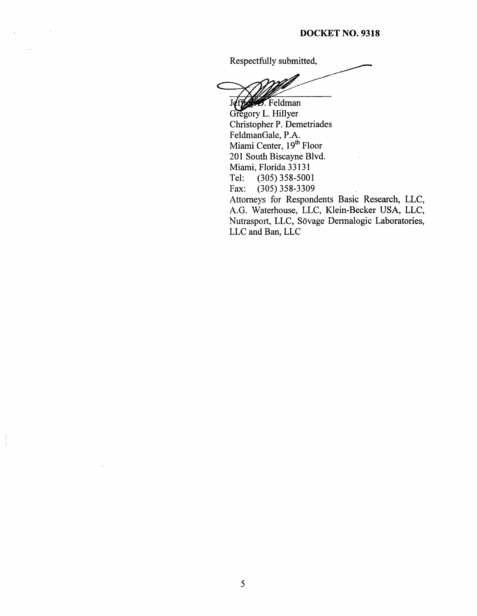Respectfully submitted,

Jeffer . Feldman Gregory L. Hillyer Christopher P. Demetriades FeldmanGale, P. Miami Center, 19<sup>th</sup> Floor 201 South Biscayne Blvd. Miami, Florida 33131 Tel: (305) 358-5001<br>Fax: (305) 358-3309  $(305)$  358-3309

Attorneys for Respondents Basic Research, LLC A.G. Waterhouse, LLC, Klein-Becker USA, LLC, Nutrasport, LLC, Sövage Dermalogic Laboratories, LLC and Ban, LLC

 $\frac{1}{2}$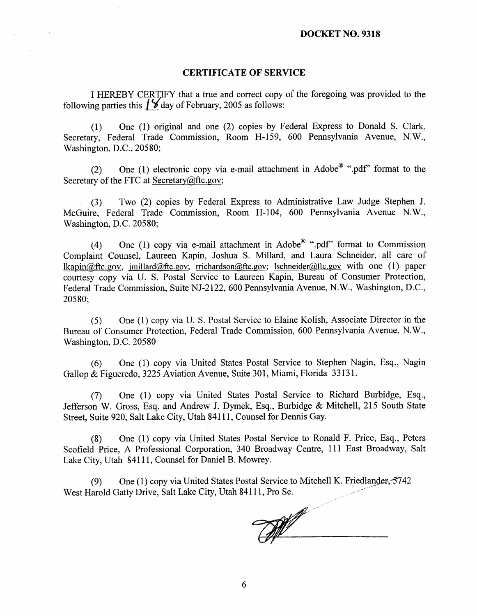## CERTIFICATE OF SERVICE

I HEREBY CERT)FY that a true and correct copy of the foregoing was provided to the following parties this  $\frac{1}{8}$  day of February, 2005 as follows:

(I) One (1) original and one (2) copies by Federal Express to Donald S. Clark. Secretary, Federal Trade Commission, Room H-159, 600 Pennsylvania Avenue, N Washington, D.C., 20580;

(2) One (1) electronic copy via e-mail attachment in Adobe® ".pdf" format to the Secretary of the FTC at Secretary $@$ ftc.gov;

(3) Two (2) copies by Federal Express to Administrative Law Judge Stephen J. McGuire, Federal Trade Commission, Room H-104, 600 Pennsylvania Avenue N.W., Washington, D.C. 20580;

(4) One (1) copy via e-mail attachment in Adobe<sup>®</sup> ".pdf" format to Commission Complaint Counsel, Laureen Kapin, Joshua S. Millard, and Laura Schneider, all care of  $lkapin@ftc.gov$ , imillard@ftc.gov; rrichardson@ftc.gov; lschneider@ftc.gov with one (1) paper courtesy copy via U. S. Postal Service to Laureen Kapin, Bureau of Consumer Protection, Federal Trade Commission, Suite NJ-2122, 600 Pennsylvania Avenue, N.W., Washington, D.C., 20580;

(5) One (1) copy via U. S. Postal Service to Elaine Kolish, Associate Director in the Bureau of Consumer Protection, Federal Trade Commission, 600 Pennsylvania Avenue, N. Washington, D.C. 20580

(6) One (I) copy via United States Postal Service to Stephen Nagin, Esq. , Nagin Gallop & Figueredo, 3225 Aviation Avenue, Suite 301, Miami, Florida 33131.

(7) One (I) copy via United States Postal Service to Richard Burbidge, Esq. Jefferson W. Gross, Esq. and Andrew J. Dymek, Esq., Burbidge & Mitchell, 215 South State Street, Suite 920, Salt Lake City, Utah 84111 , Counsel for Dennis Gay.

(8) One (I) copy via United States Postal Service to Ronald F. Price, Esq. , Peters Scofield Price, A Professional Corporation, 340 Broadway Centre, III East Broadway, Salt Lake City, Utah 84111, Counsel for Daniel B. Mowrey.

(9) One (1) copy via United States Postal Service to Mitchell K. Friedlander,  $5742$ West Harold Gatty Drive, Salt Lake City, Utah 84111 , Pro Se.